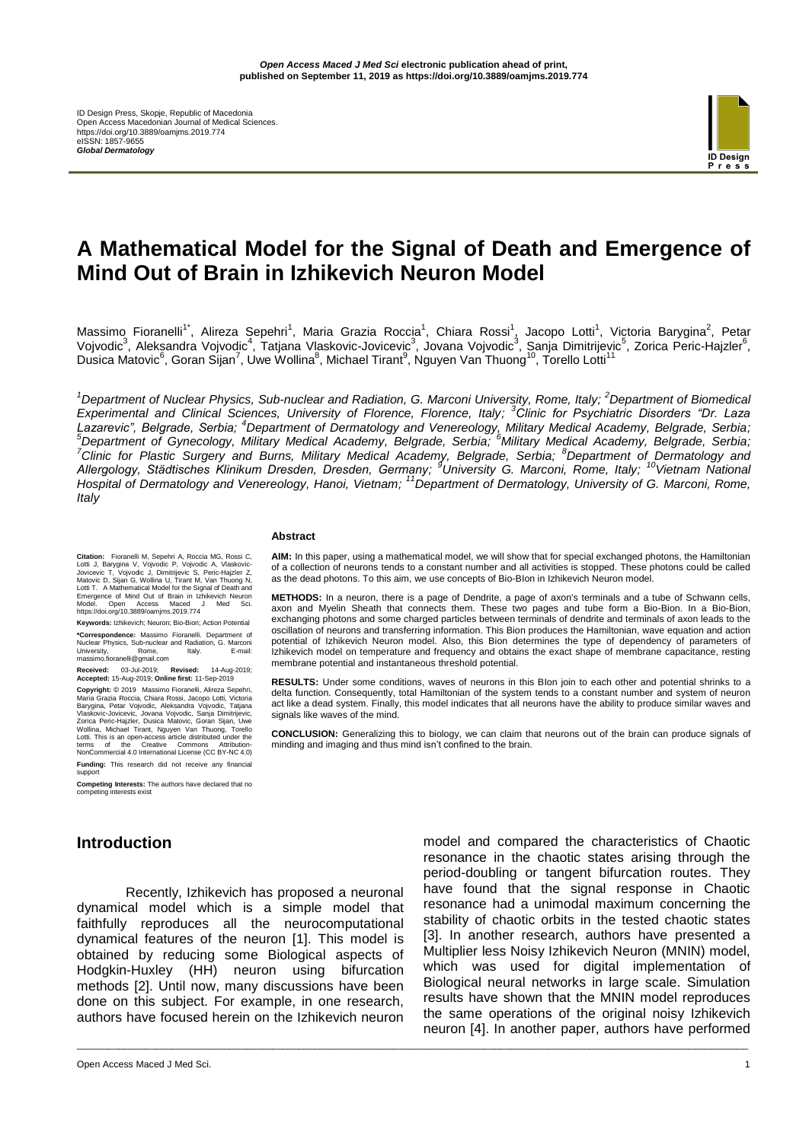ID Design Press, Skopje, Republic of Macedonia Open Access Macedonian Journal of Medical Sciences. https://doi.org/10.3889/oamjms.2019.774 eISSN: 1857-9655 *Global Dermatology*



# **A Mathematical Model for the Signal of Death and Emergence of Mind Out of Brain in Izhikevich Neuron Model**

Massimo Fioranelli<sup>1\*</sup>, Alireza Sepehri<sup>1</sup>, Maria Grazia Roccia<sup>1</sup>, Chiara Rossi<sup>1</sup>, Jacopo Lotti<sup>1</sup>, Victoria Barygina<sup>2</sup>, Petar Vojvodic<sup>3</sup>, Aleksandra Vojvodic<sup>4</sup>, Tatjana Vlaskovic-Jovicevic<sup>3</sup>, Jovana Vojvodic<sup>3</sup>, Sanja Dimitrijevic<sup>5</sup>, Zorica Peric-Hajzler<sup>6</sup>, Dusica Matovic<sup>6</sup>, Goran Sijan<sup>7</sup>, Uwe Wollina<sup>8</sup>, Michael Tirant<sup>9</sup>, Nguyen Van Thuong<sup>10</sup>, Torello Lotti<sup>11</sup>

*<sup>1</sup>Department of Nuclear Physics, Sub-nuclear and Radiation, G. Marconi University, Rome, Italy; <sup>2</sup>Department of Biomedical Experimental and Clinical Sciences, University of Florence, Florence, Italy; <sup>3</sup>Clinic for Psychiatric Disorders "Dr. Laza Lazarevic", Belgrade, Serbia; <sup>4</sup>Department of Dermatology and Venereology, Military Medical Academy, Belgrade, Serbia; <sup>5</sup>Department of Gynecology, Military Medical Academy, Belgrade, Serbia; <sup>6</sup>Military Medical Academy, Belgrade, Serbia; <sup>7</sup>Clinic for Plastic Surgery and Burns, Military Medical Academy, Belgrade, Serbia; <sup>8</sup>Department of Dermatology and Allergology, Städtisches Klinikum Dresden, Dresden, Germany; <sup>9</sup>University G. Marconi, Rome, Italy; <sup>10</sup>Vietnam National Hospital of Dermatology and Venereology, Hanoi, Vietnam; <sup>11</sup>Department of Dermatology, University of G. Marconi, Rome, Italy*

\_\_\_\_\_\_\_\_\_\_\_\_\_\_\_\_\_\_\_\_\_\_\_\_\_\_\_\_\_\_\_\_\_\_\_\_\_\_\_\_\_\_\_\_\_\_\_\_\_\_\_\_\_\_\_\_\_\_\_\_\_\_\_\_\_\_\_\_\_\_\_\_\_\_\_\_\_\_\_\_\_\_\_\_\_\_\_\_\_\_\_\_\_\_\_\_\_\_\_\_\_\_\_\_\_\_\_\_\_\_\_\_\_\_\_\_\_\_\_\_\_\_\_\_\_\_\_

#### **Abstract**

**Citation:** Fioranelli M, Sepehri A, Roccia MG, Rossi C, Lotti J, Barygina V, Vojvodic P, Vojvodic A, Vlaskovic-Jovicevic T, Vojvodic J, Dimitrijevic S, Peric-Hajzler Z, Matovic D, Sijan G, Wollina U, Tirant M, Van Thuong N, Lotti T. A Mathematical Model for the Signal of Death and Emergence of Mind Out of Brain in Izhikevich Neuron Model. Open Access Maced J Med Sci. https://doi.org/10.3889/oamjms.2019.774

**Keywords:** Izhikevich; Neuron; Bio-Bion; Action Potential **\*Correspondence:** Massimo Fioranelli. Department of Nuclear Physics, Sub-nuclear and Radiation, G. Marconi University, Rome, Italy. E-mail: Nuclear Physics, Sub-nuclear<br>University, Rome,<br>massimo.fioranelli@gmail.com

**Received:** 03-Jul-2019; **Revised:** 14-Aug-2019; **Accepted:** 15-Aug-2019; **Online first:** 11-Sep-2019

**Copyright:** © 2019 Massimo Fioranelli, Alireza Sepehri, Maria Grazia Roccia, Chiara Rossi, Jacopo Lotti, Victoria Barygina, Petar Vojvodic, Aleksandra Vojvodic, Tatjana Vlaskovic-Jovicevic, Jovana Vojvodic, Sanja Dimitrijevic, Zorica Peric-Hajzler, Dusica Matovic, Goran Sijan, Uwe Wollina, Michael Tirant, Nguyen Van Thuong, Torello Lotti. This is an open-access article distributed under the terms of the Creative Commons Attribution-NonCommercial 4.0 International License (CC BY-NC 4.0) **Funding:** This research did not receive any financial support

**Competing Interests:** The authors have declared that no competing interests ex

**AIM:** In this paper, using a mathematical model, we will show that for special exchanged photons, the Hamiltonian of a collection of neurons tends to a constant number and all activities is stopped. These photons could be called as the dead photons. To this aim, we use concepts of Bio-BIon in Izhikevich Neuron model.

**METHODS:** In a neuron, there is a page of Dendrite, a page of axon's terminals and a tube of Schwann cells, axon and Myelin Sheath that connects them. These two pages and tube form a Bio-Bion. In a Bio-Bion, exchanging photons and some charged particles between terminals of dendrite and terminals of axon leads to the oscillation of neurons and transferring information. This Bion produces the Hamiltonian, wave equation and action potential of Izhikevich Neuron model. Also, this Bion determines the type of dependency of parameters of Izhikevich model on temperature and frequency and obtains the exact shape of membrane capacitance, resting membrane potential and instantaneous threshold potential.

**RESULTS:** Under some conditions, waves of neurons in this BIon join to each other and potential shrinks to a delta function. Consequently, total Hamiltonian of the system tends to a constant number and system of neuron act like a dead system. Finally, this model indicates that all neurons have the ability to produce similar waves and signals like waves of the mind.

**CONCLUSION:** Generalizing this to biology, we can claim that neurons out of the brain can produce signals of minding and imaging and thus mind isn't confined to the brain.

# **Introduction**

Recently, Izhikevich has proposed a neuronal dynamical model which is a simple model that faithfully reproduces all the neurocomputational dynamical features of the neuron [1]. This model is obtained by reducing some Biological aspects of Hodgkin-Huxley (HH) neuron using bifurcation methods [2]. Until now, many discussions have been done on this subject. For example, in one research, authors have focused herein on the Izhikevich neuron

model and compared the characteristics of Chaotic resonance in the chaotic states arising through the period-doubling or tangent bifurcation routes. They have found that the signal response in Chaotic resonance had a unimodal maximum concerning the stability of chaotic orbits in the tested chaotic states [3]. In another research, authors have presented a Multiplier less Noisy Izhikevich Neuron (MNIN) model, which was used for digital implementation of Biological neural networks in large scale. Simulation results have shown that the MNIN model reproduces the same operations of the original noisy Izhikevich neuron [4]. In another paper, authors have performed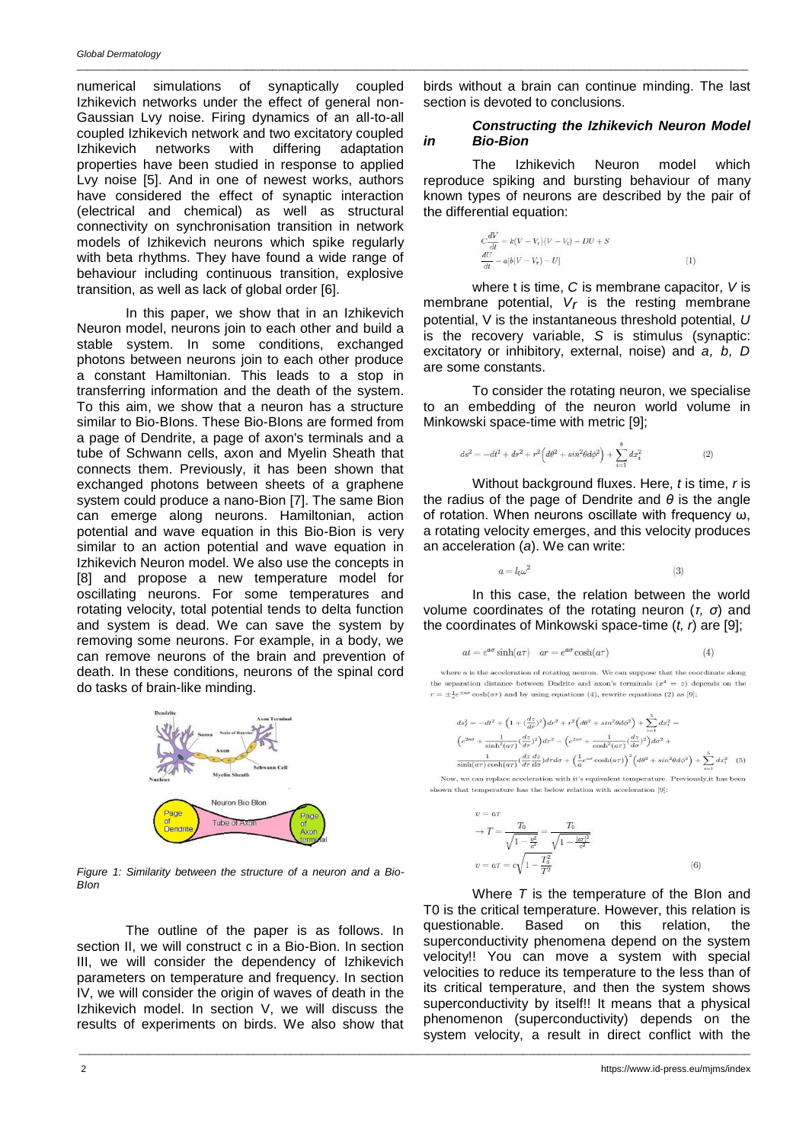numerical simulations of synaptically coupled Izhikevich networks under the effect of general non-Gaussian Lvy noise. Firing dynamics of an all-to-all coupled Izhikevich network and two excitatory coupled Izhikevich networks with differing adaptation properties have been studied in response to applied Lvy noise [5]. And in one of newest works, authors have considered the effect of synaptic interaction (electrical and chemical) as well as structural connectivity on synchronisation transition in network models of Izhikevich neurons which spike regularly with beta rhythms. They have found a wide range of behaviour including continuous transition, explosive transition, as well as lack of global order [6].

In this paper, we show that in an Izhikevich Neuron model, neurons join to each other and build a stable system. In some conditions, exchanged photons between neurons join to each other produce a constant Hamiltonian. This leads to a stop in transferring information and the death of the system. To this aim, we show that a neuron has a structure similar to Bio-BIons. These Bio-BIons are formed from a page of Dendrite, a page of axon's terminals and a tube of Schwann cells, axon and Myelin Sheath that connects them. Previously, it has been shown that exchanged photons between sheets of a graphene system could produce a nano-Bion [7]. The same Bion can emerge along neurons. Hamiltonian, action potential and wave equation in this Bio-Bion is very similar to an action potential and wave equation in Izhikevich Neuron model. We also use the concepts in [8] and propose a new temperature model for oscillating neurons. For some temperatures and rotating velocity, total potential tends to delta function and system is dead. We can save the system by removing some neurons. For example, in a body, we can remove neurons of the brain and prevention of death. In these conditions, neurons of the spinal cord do tasks of brain-like minding.



*Figure 1: Similarity between the structure of a neuron and a Bio-BIon*

The outline of the paper is as follows. In section II, we will construct c in a Bio-Bion. In section III, we will consider the dependency of Izhikevich parameters on temperature and frequency. In section IV, we will consider the origin of waves of death in the Izhikevich model. In section V, we will discuss the results of experiments on birds. We also show that

\_\_\_\_\_\_\_\_\_\_\_\_\_\_\_\_\_\_\_\_\_\_\_\_\_\_\_\_\_\_\_\_\_\_\_\_\_\_\_\_\_\_\_\_\_\_\_\_\_\_\_\_\_\_\_\_\_\_\_\_\_\_\_\_\_\_\_\_\_\_\_\_\_\_\_\_\_\_\_\_\_\_\_\_\_\_\_\_\_\_\_\_\_\_\_\_\_\_\_\_\_\_\_\_\_\_\_\_\_\_\_\_\_\_\_\_\_\_\_\_\_\_\_\_\_\_\_

birds without a brain can continue minding. The last section is devoted to conclusions.

# *Constructing the Izhikevich Neuron Model in Bio-Bion*

The Izhikevich Neuron model which reproduce spiking and bursting behaviour of many known types of neurons are described by the pair of the differential equation:

$$
C\frac{dV}{dt} = k(V - V_r)(V - V_t) - DU + S
$$
  

$$
\frac{dU}{dt} = a[b(V - V_r) - U]
$$
 (1)

where t is time, *C* is membrane capacitor, *V* is membrane potential, *Vr* is the resting membrane potential, V is the instantaneous threshold potential, *U* is the recovery variable, *S* is stimulus (synaptic: excitatory or inhibitory, external, noise) and *a, b, D* are some constants.

To consider the rotating neuron, we specialise to an embedding of the neuron world volume in Minkowski space-time with metric [9];

$$
ds^{2} = -dt^{2} + dr^{2} + r^{2} \Big( d\theta^{2} + sin^{2}\theta d\phi^{2} \Big) + \sum_{i=1}^{6} dx_{i}^{2}
$$
 (2)

Without background fluxes. Here, *t* is time, *r* is the radius of the page of Dendrite and *θ* is the angle of rotation. When neurons oscillate with frequency ω, a rotating velocity emerges, and this velocity produces an acceleration (*a*). We can write:

$$
a = l_0 \omega^2 \tag{3}
$$

In this case, the relation between the world volume coordinates of the rotating neuron (*τ, σ*) and the coordinates of Minkowski space-time (*t, r*) are [9];

$$
at = e^{a\sigma}\sinh(a\tau) \quad ar = e^{a\sigma}\cosh(a\tau) \tag{4}
$$

where  $a$  is the acceleration of rotating neuron. We can suppose that the coordinate along the separation distance between Dndrite and axon's terminals  $(x^4 = z)$  depends on the  $r = \pm \frac{1}{2}e^{\pm a\sigma}\cosh(a\tau)$  and by using equations (4), rewrite equations (2) as [9];

$$
\begin{split} ds_I^2 &= -dt^2 + \Big(1 + \big(\frac{dz}{dr}\big)^2\Big)dr^2 + r^2\Big(d\theta^2 + sin^2\theta d\phi^2\Big) + \sum_{i=1}^5 dx_i^2 = \\ & \Big(e^{2a\sigma} + \frac{1}{\sinh^2(a\tau)}\big(\frac{dz}{d\tau}\big)^2\Big)dr^2 - \Big(e^{2a\sigma} + \frac{1}{\cosh^2(a\tau)}\big(\frac{dz}{d\sigma}\big)^2\Big)d\sigma^2 + \\ & \frac{1}{\sinh(a\tau)}\cosh(a\tau)\Big(\frac{dz}{d\tau}\frac{dz}{d\sigma}\Big)d\tau d\sigma + \Big(\frac{1}{a}e^{a\sigma}\cosh(a\tau)\Big)^2\Big(d\theta^2 + sin^2\theta d\phi^2\Big) + \sum_{i=1}^5 dx_i^2 \quad (5) \\ & \text{w, we can replace acceleration with it's equivalent temperature. Previously, it has been} \end{split}
$$

No shown that temperature has the below relation with acceleration [9]:

$$
v = a\tau
$$
  
\n
$$
\rightarrow T = \frac{T_0}{\sqrt{1 - \frac{v^2}{c^2}}} = \frac{T_0}{\sqrt{1 - \frac{|ar|^2}{c^2}}}
$$
  
\n
$$
v = a\tau = c\sqrt{1 - \frac{T_0^2}{T^2}}
$$
\n(6)

Where *T* is the temperature of the BIon and T0 is the critical temperature. However, this relation is questionable. Based on this relation, the superconductivity phenomena depend on the system velocity!! You can move a system with special velocities to reduce its temperature to the less than of its critical temperature, and then the system shows superconductivity by itself!! It means that a physical phenomenon (superconductivity) depends on the system velocity, a result in direct conflict with the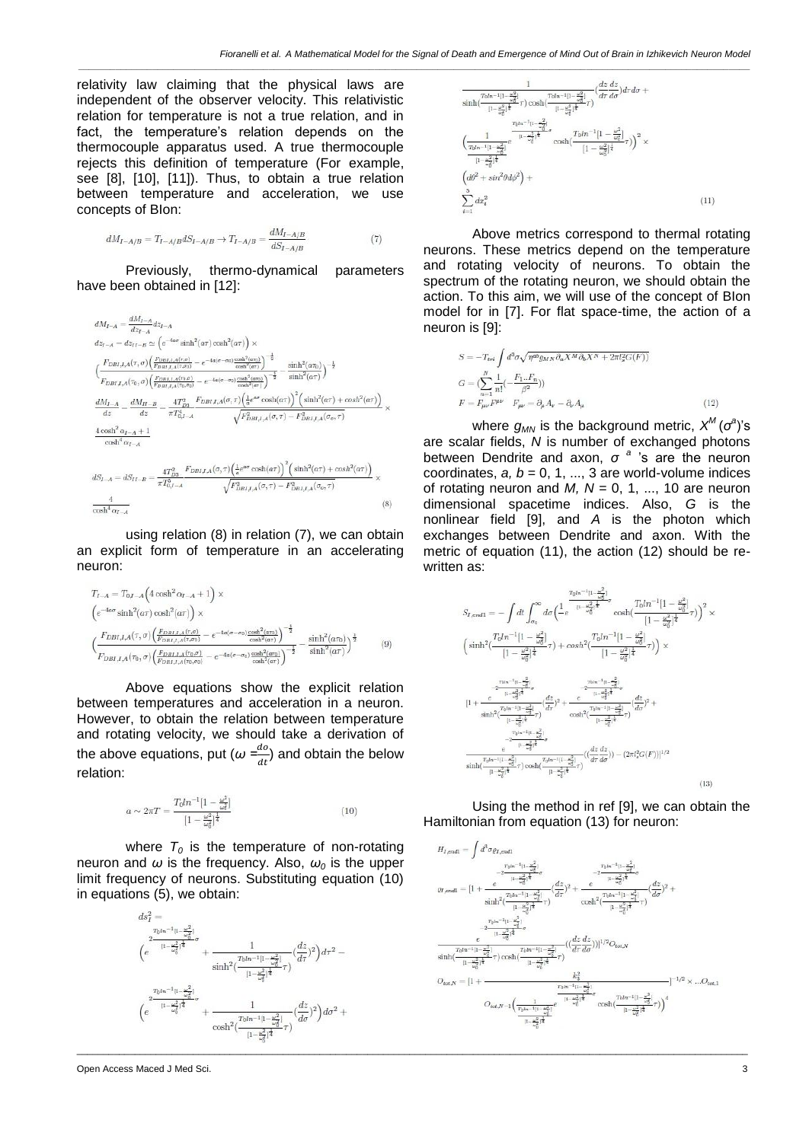relativity law claiming that the physical laws are independent of the observer velocity. This relativistic relation for temperature is not a true relation, and in fact, the temperature's relation depends on the thermocouple apparatus used. A true thermocouple rejects this definition of temperature (For example, see [8], [10], [11]). Thus, to obtain a true relation between temperature and acceleration, we use concepts of BIon:

$$
dM_{I-A/B} = T_{I-A/B} dS_{I-A/B} \to T_{I-A/B} = \frac{dM_{I-A/B}}{dS_{I-A/B}} \tag{7}
$$

Previously, thermo-dynamical parameters have been obtained in [12]:

$$
\begin{split} dM_{I-A} & = \frac{dM_{I-A}}{dz_{I-A}}dz_{I-A} \\ d z_{I-A} & = dz_{II-B} \simeq \left(e^{-4a\sigma} \sinh^2(a\tau) \cosh^2(a\tau)\right) \times \\ & \left(\frac{F_{DBI,I,A}(\tau,\sigma)\left(\frac{F_{DBI,I,A}(\tau,\sigma)}{F_{DBI,I,A}(\tau,\sigma)} - e^{-4a(\sigma-\sigma_0)} \frac{\cosh^2(a\tau_0)}{\cosh^2(a\tau)}\right)^{-\frac{1}{2}}} {F_{DBI,I,A}(\tau_0,\sigma)\left(\frac{F_{DBI,I,A}(\tau,\sigma)}{F_{DBI,I,A}(\tau_0,\sigma)} - e^{-4a(\sigma-\sigma_0)} \frac{\cosh^2(a\tau_0)}{\cosh^2(a\tau)}\right)^{-\frac{1}{2}}} - \frac{\sinh^2(a\tau_0)}{\sinh^2(a\tau)}\right)^{-\frac{1}{2}} \\ \frac{dM_{I-A}}{dz} & = \frac{dM_{II-B}}{dz} = \frac{4T_{D,I}^2}{\pi I_{0,I-A}^4} \frac{F_{DBI,I,A}(\sigma,\tau)\left(\frac{1}{a}e^{a\sigma} \cosh(a\tau)\right)^2 \left(\sinh^2(a\tau) + \cosh^2(a\tau)\right)}{\sqrt{F_{DBI,I,A}^2(\sigma,\tau) - F_{DBI,I,A}^2(\sigma,\tau)}} \times \\ d \cosh^4\alpha_{I-A} \\ d S_{I-A} & = d S_{II-B} = \frac{4T_{D,I}^2}{\pi I_{0,I-A}^2} \frac{F_{DBI,I,A}(\sigma,\tau)\left(\frac{1}{a}e^{a\sigma} \cosh(a\tau)\right)^2 \left(\sinh^2(a\tau) + \cosh^2(a\tau)\right)}{\sqrt{F_{DBI,I,A}^2(\sigma,\tau) - F_{DBI,I,A}^2(\sigma,\tau)}} \times \\ \frac{4}{\cosh^4\alpha_{I-A}} \end{split} \eqno{(8)}
$$

using relation (8) in relation (7), we can obtain an explicit form of temperature in an accelerating neuron:

$$
T_{I-A} = T_{0,I-A} \left( 4 \cosh^2 \alpha_{I-A} + 1 \right) \times
$$
  
\n
$$
\left( e^{-4a\sigma} \sinh^2(a\tau) \cosh^2(a\tau) \right) \times
$$
  
\n
$$
\left( \frac{F_{DBI,I,A}(\tau,\sigma) \left( \frac{F_{DBI,I,A}(\tau,\sigma)}{F_{DBI,I,A}(\tau,\sigma)} - e^{-4a(\sigma-\sigma_0)} \frac{\cosh^2(a\tau)}{\cosh^2(a\tau)} \right)^{-\frac{1}{2}}}{F_{DBI,I,A}(\tau_0,\sigma) \left( \frac{F_{DBI,I,A}(\tau,\sigma,\sigma)}{F_{DBI,I,A}(\tau_0,\sigma_0)} - e^{-4a(\sigma-\sigma_0)} \frac{\cosh^2(a\tau)}{\cosh^2(a\tau)} \right)^{-\frac{1}{2}}} - \frac{\sinh^2(a\tau)}{\sinh^2(a\tau)} \right)^{\frac{1}{2}} \tag{9}
$$

Above equations show the explicit relation between temperatures and acceleration in a neuron. However, to obtain the relation between temperature and rotating velocity, we should take a derivation of the above equations, put (*ω =*  $\frac{uv}{dt}$ ) and obtain the below relation:

$$
a \sim 2\pi T = \frac{T_0 l n^{-1} [1 - \frac{\omega^2}{\omega_0^2}]}{[1 - \frac{\omega^2}{\omega_0^2}]^{\frac{1}{4}}} \tag{10}
$$

where  $T_0$  is the temperature of non-rotating neuron and  $\omega$  is the frequency. Also,  $\omega_0$  is the upper limit frequency of neurons. Substituting equation (10) in equations (5), we obtain:







Above metrics correspond to thermal rotating neurons. These metrics depend on the temperature and rotating velocity of neurons. To obtain the spectrum of the rotating neuron, we should obtain the action. To this aim, we will use of the concept of BIon model for in [7]. For flat space-time, the action of a neuron is [9]:

$$
S = -T_{tri} \int d^3 \sigma \sqrt{\eta^{ab} g_{MN} \partial_a X^M \partial_b X^N + 2\pi l_s^2 G(F))}
$$
  
\n
$$
G = (\sum_{n=1}^N \frac{1}{n!} (-\frac{F_1...F_n}{\beta^2}))
$$
  
\n
$$
F = F_{\mu\nu} F^{\mu\nu} \quad F_{\mu\nu} = \partial_\mu A_\nu - \partial_\nu A_\mu
$$
\n(12)

where  $g_{\scriptscriptstyle{MN}}$  is the background metric,  $\mathsf{X}^{\scriptscriptstyle{M}}(\sigma^{\scriptscriptstyle{a}})$ 's are scalar fields, *N* is number of exchanged photons between Dendrite and axon, *σ <sup>a</sup>* 's are the neuron coordinates,  $a, b = 0, 1, ..., 3$  are world-volume indices of rotating neuron and  $M$ ,  $N = 0, 1, ..., 10$  are neuron dimensional spacetime indices. Also, *G* is the nonlinear field [9], and *A* is the photon which exchanges between Dendrite and axon. With the metric of equation (11), the action (12) should be rewritten as:

$$
\begin{split} S_{I,end1}=&-\int dt \int_{\sigma_0}^{\infty} d\sigma \Big(\frac{\frac{r_0! \kappa^{-1} [1-\frac{\omega^2}{\sigma_0^2}]}{ (1-\frac{\omega^2}{\omega_0^2})^{\frac{1}{4}}}\sigma \cosh(\frac{T_0! n^{-1} [1-\frac{\omega^2}{\omega_0^2}]}{[1-\frac{\omega^2}{\omega_0^2}]^{\frac{1}{4}}} \tau)\Big)^2 \times \\ &\left(\sinh^2(\frac{T_0! n^{-1} [1-\frac{\omega^2}{\omega_0^2}]}{[1-\frac{\omega^2}{\omega_0^2}]^{\frac{1}{4}}}\tau) + cosh^2(\frac{T_0! n^{-1} [1-\frac{\omega^2}{\omega_0^2}]}{[1-\frac{\omega^2}{\omega_0^2}]^{\frac{1}{4}}} \tau)\right) \times \\ &\frac{e^{-\frac{7 b \kappa^{-1} [t-\frac{\omega^2}{\omega_0^2} }{[1-\frac{\omega^2}{\omega_0^2}]^{\frac{1}{4}}}\sigma}}{[1+\frac{e^{-\frac{7 b \kappa^{-1} [t-\frac{\omega^2}{\omega_0^2}]}{[1-\frac{\omega^2}{\omega_0^2}]^{\frac{1}{4}}}}\sigma(\frac{dz}{d\tau})^2 + \frac{e^{-\frac{7 b \kappa^{-1} [t-\frac{\omega^2}{\omega_0^2}]}{[1-\frac{\omega^2}{\omega_0^2}]^{\frac{1}{4}}}}}{\cosh^2(\frac{7 b n^{-1} [1-\frac{\omega^2}{\omega_0^2}]}{[1-\frac{\omega^2}{\omega_0^2}]^{\frac{1}{4}}}\sigma)}(\frac{dz}{d\sigma})^2 + \\ &\frac{e^{-\frac{7 b \kappa^{-1} [t-\frac{\omega^2}{\omega_0^2}]}{[1-\frac{\omega^2}{\omega_0^2}]^{\frac{1}{4}}}}}{\sinh(\frac{7 b n^{-1} [1-\frac{\omega^2}{\omega_0^2}]}{[1-\frac{\omega^2}{\omega_0^2}]^{\frac{1}{4}}}\sigma)(\frac{dz}{d\tau}d\sigma}) - (2\pi l_s^2 G(F))]^{1/2}} \end{split} \eqno{(12)}
$$

Using the method in ref [9], we can obtain the Hamiltonian from equation (13) for neuron:

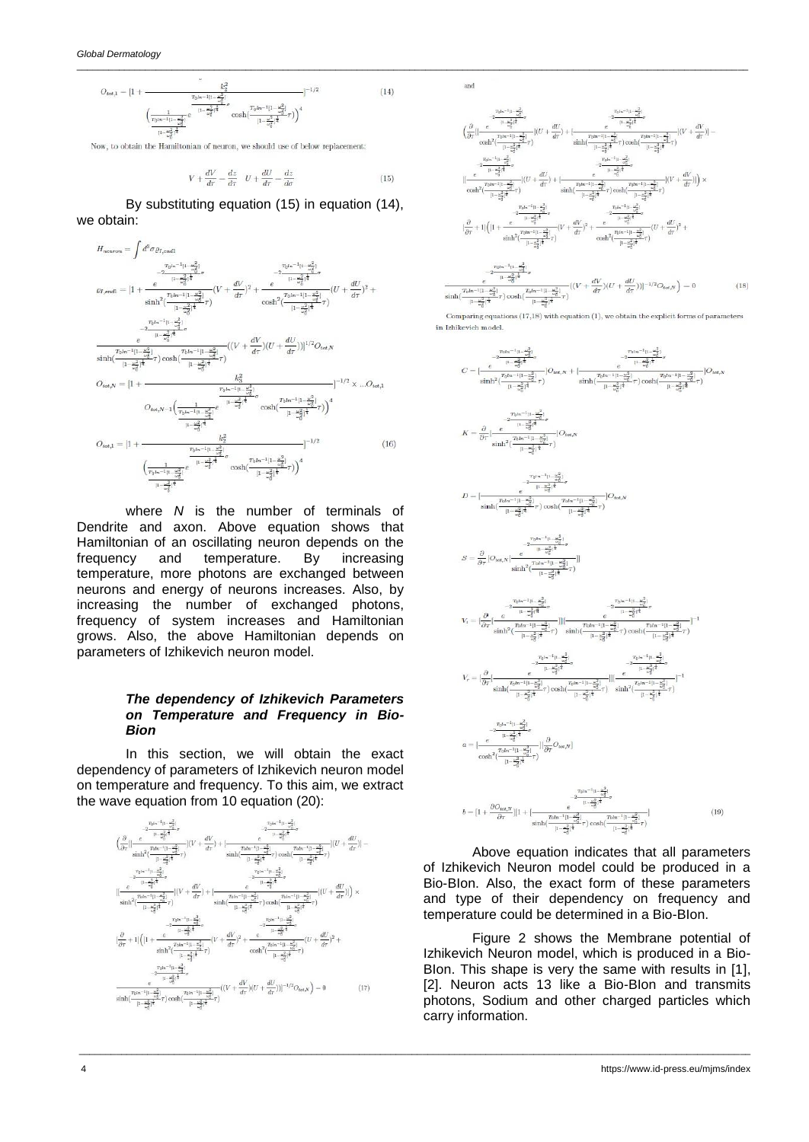$$
O_{tot,1} = [1 + \frac{k_2^2}{\sqrt{\frac{1}{\left(1 - \frac{\omega_0^2}{\omega_0^2}\right)^2}}e^{-\frac{k_2^2}{(1 - \frac{\omega_0^2}{\omega_0^2})^2}}\sigma_{\text{cosh}\left(\frac{T_0 ln^{-1}[1 - \frac{\omega_0^2}{\omega_0^2}]^2}{[1 - \frac{\omega_0^2}{\omega_0^2}]^{\frac{1}{4}}}\tau)\right)^4}
$$
(14)

Now, to obtain the Hamiltonian of neuron, we should use of below replacement:

$$
V + \frac{dV}{d\tau} = \frac{dz}{d\tau} \quad U + \frac{dU}{d\tau} = \frac{dz}{d\sigma} \tag{15}
$$

\_\_\_\_\_\_\_\_\_\_\_\_\_\_\_\_\_\_\_\_\_\_\_\_\_\_\_\_\_\_\_\_\_\_\_\_\_\_\_\_\_\_\_\_\_\_\_\_\_\_\_\_\_\_\_\_\_\_\_\_\_\_\_\_\_\_\_\_\_\_\_\_\_\_\_\_\_\_\_\_\_\_\_\_\_\_\_\_\_\_\_\_\_\_\_\_\_\_\_\_\_\_\_\_\_\_\_\_\_\_\_\_\_\_\_\_\_\_\_\_\_\_\_\_\_\_\_

By substituting equation (15) in equation (14), we obtain:



where *N* is the number of terminals of Dendrite and axon. Above equation shows that Hamiltonian of an oscillating neuron depends on the frequency and temperature. By increasing temperature, more photons are exchanged between neurons and energy of neurons increases. Also, by increasing the number of exchanged photons, frequency of system increases and Hamiltonian grows. Also, the above Hamiltonian depends on parameters of Izhikevich neuron model.

## *The dependency of Izhikevich Parameters on Temperature and Frequency in Bio-Bion*

In this section, we will obtain the exact dependency of parameters of Izhikevich neuron model on temperature and frequency. To this aim, we extract the wave equation from 10 equation (20):





Comparing equat  $s(17,18)$  with equation  $(1)$ , we obtain the explicit forms of parameters in Izhikevich model

$$
C = \frac{2^{\frac{T_{0}(\alpha_0^{-1} \{1\}}{\{1\}} - \frac{\alpha^2}{\alpha^2}\})}{\left[1 - \frac{\alpha^2}{\alpha^2}\right]^{\frac{1}{2}}} \rho \frac{2^{\frac{T_{0}(\alpha_0^{-1} \{1\}}{\{1\}} - \frac{\alpha^2}{\alpha^2}\})}{\sinh^2\left(\frac{T_{0}(\alpha_0^{-1} \{1\}}{\{1\}} - \frac{\alpha^2}{\alpha^2}\right)^{\frac{1}{2}}}T)}\right] O_{tot, N} + \left[ \frac{2^{\frac{T_{0}(\alpha_0^{-1} \{1\}}{\{1\}} - \frac{\alpha^2}{\alpha^2}\})^{\frac{1}{2}}}{\sinh^2\left(\frac{T_{0}(\alpha_0^{-1} \{1\}}{\{1\}} - \frac{\alpha^2}{\alpha^2}\right)^{\frac{1}{2}}}T}\right) \cosh\left(\frac{T_{0}(\alpha_0^{-1} \{1\}}{\{1\}} - \frac{\alpha^2}{\alpha^2}\right)^{\frac{1}{2}}}T\right) O_{tot, N}
$$
\n
$$
K = \frac{\partial}{\partial \tau} \Big[ \frac{e^{-\frac{T_{0}(\alpha_0^{-1} \{1\}}{\{1\}} - \frac{\alpha^2}{\{1\}})^{\frac{1}{2}}} - e^{-\frac{T_{0}(\alpha_0^{-1} \{1\}}{\{1\}} - \frac{\alpha^2}{\alpha^2}\})^{\frac{1}{2}}}{\sinh^2\left(\frac{T_{0}(\alpha_0^{-1} \{1\}}{\{1\}} - \frac{\alpha^2}{\alpha^2}\right)^{\frac{1}{2}}}T}\right) O_{tot, N}
$$
\n
$$
D = \Big[ \frac{2^{\frac{T_{0}(\alpha_0^{-1} \{1\}}{\{1\}} - \frac{\alpha^2}{\alpha^2}\})^{\frac{1}{2}}}{\sinh^2\left(\frac{T_{0}(\alpha_0^{-1} \{1\}}{\{1\}} - \frac{\alpha^2}{\alpha^2}\right)^{\frac{1}{2}}}T}\Big) O_{tot, N}
$$
\n
$$
S = \frac{\partial}{\partial \tau} \Big[ O_{tot, N} \Big( \frac{e^{-\frac{\alpha^2}{\{1\}} - \frac{\alpha^2}{\{1\}}}{\left(1 - \frac{\alpha^2}{\alpha^2}\right)^{\frac{1}{2}}}T}\Big) \Big]
$$

$$
V_{\tau} = \left(\frac{\partial}{\partial \tau} \left| \frac{\frac{T_{0}!n^{-1}[1-\frac{\sigma_{2}^{2}}{\sigma_{2}^{2}}]}{(1-\frac{\sigma_{2}^{2}}{\sigma_{2}^{2}})^{\frac{1}{4}}}\tau\right|^{2}}{\frac{1-\frac{\sigma_{2}^{2}}{\sigma_{2}^{2}}\left|\frac{1}{\sigma_{2}^{2}}\right|^{2}}\tau}\right) \frac{1}{\sinh\left(\frac{T_{0}!n^{-1}[1-\frac{\sigma_{2}^{2}}{\sigma_{2}^{2}}]^{2}}{(1-\frac{\sigma_{2}^{2}}{\sigma_{2}^{2}})^{\frac{1}{4}}}\tau\right)}\cosh\left(\frac{T_{0}!n^{-1}[1-\frac{\sigma_{2}^{2}}{\sigma_{2}^{2}}]^{2}}{\frac{1-\frac{\sigma_{2}^{2}}{\sigma_{2}^{2}}\left|\frac{1}{\sigma_{2}^{2}}\right|^{2}}\sigma}\right)
$$

$$
V_{\tau} = \left(\frac{\partial}{\partial \tau}\left|\frac{T_{0}!n^{-1}[1-\frac{\sigma_{2}^{2}}{\sigma_{2}^{2}}]^{2}}{\sinh\left(\frac{T_{0}!n^{-1}[1-\frac{\sigma_{2}^{2}}{\sigma_{2}^{2}}]^{2}}\tau\right)\cosh\left(\frac{T_{0}!n^{-1}[1-\frac{\sigma_{2}^{2}}{\sigma_{2}^{2}}]^{2}}{\frac{1-\frac{\sigma_{2}^{2}}{\sigma_{2}^{2}}\left|\frac{1}{\sigma_{2}^{2}}\right|^{2}}\tau\right)}\right)\frac{1}{\sinh^{2}\left(\frac{T_{0}!n^{-1}[1-\frac{\sigma_{2}^{2}}{\sigma_{2}^{2}}]^{2}}{(1-\frac{\sigma_{2}^{2}}{\sigma_{2}^{2}})^{\frac{1}{4}}}\tau\right)}^{-1}
$$

$$
a=\lvert\frac{e^{-2t_0!a^{-\frac{1}{2}}(1-\frac{u^2}{a^2_0})}}{\cosh^2(\frac{Tbtn^{-1}[1-\frac{u^2}{a^2_0}] }{(1-\frac{u^2}{a^2_0})^4})\rvert\frac{\partial}{\partial \tau}O_{tot,V}\rvert}
$$

 $(19)$ 

Above equation indicates that all parameters of Izhikevich Neuron model could be produced in a Bio-BIon. Also, the exact form of these parameters and type of their dependency on frequency and temperature could be determined in a Bio-BIon.

Figure 2 shows the Membrane potential of Izhikevich Neuron model, which is produced in a Bio-BIon. This shape is very the same with results in [1], [2]. Neuron acts 13 like a Bio-BIon and transmits photons, Sodium and other charged particles which carry information.

\_\_\_\_\_\_\_\_\_\_\_\_\_\_\_\_\_\_\_\_\_\_\_\_\_\_\_\_\_\_\_\_\_\_\_\_\_\_\_\_\_\_\_\_\_\_\_\_\_\_\_\_\_\_\_\_\_\_\_\_\_\_\_\_\_\_\_\_\_\_\_\_\_\_\_\_\_\_\_\_\_\_\_\_\_\_\_\_\_\_\_\_\_\_\_\_\_\_\_\_\_\_\_\_\_\_\_\_\_\_\_\_\_\_\_\_\_\_\_\_\_\_\_\_\_\_\_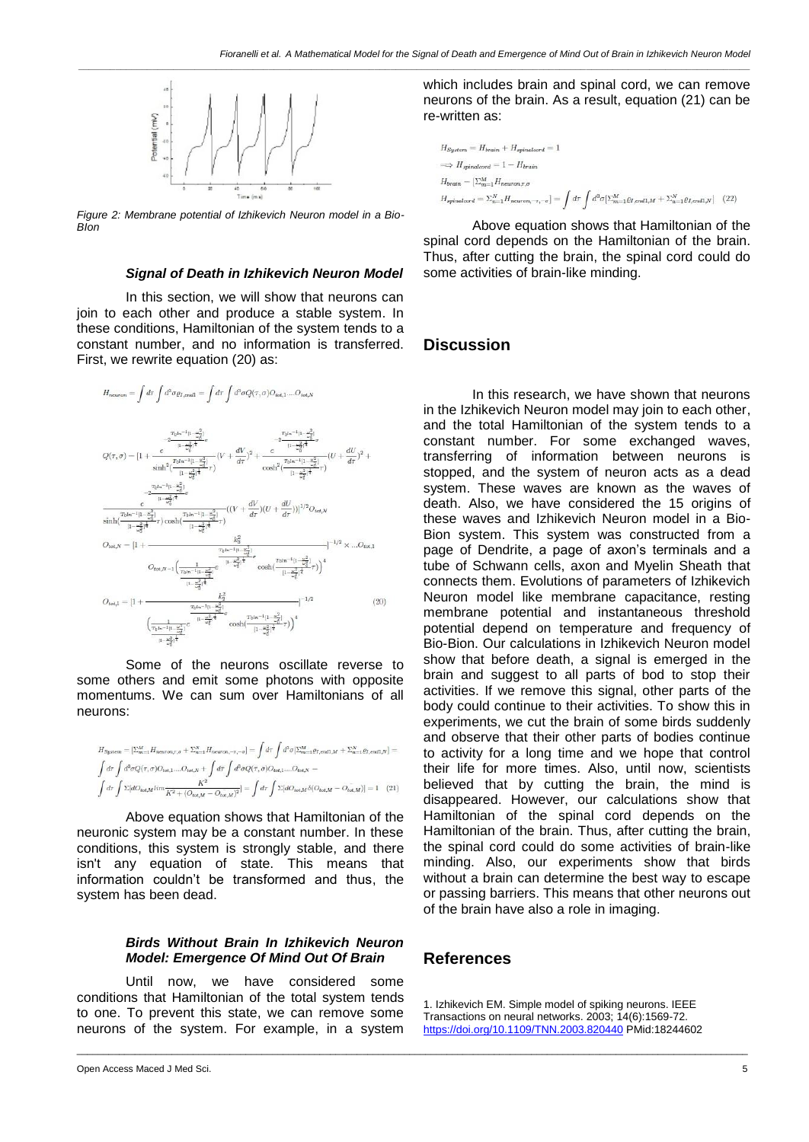

*Figure 2: Membrane potential of Izhikevich Neuron model in a Bio-BIon*

### *Signal of Death in Izhikevich Neuron Model*

In this section, we will show that neurons can join to each other and produce a stable system. In these conditions, Hamiltonian of the system tends to a constant number, and no information is transferred. First, we rewrite equation (20) as:

$$
H_{\text{neuron}} = \int d\tau \int d^{3} \sigma \varrho_{I, \text{end}} = \int d\tau \int d^{3} \sigma Q(\tau, \sigma) O_{\text{tot}, 1} \dots O_{\text{tot}, N}
$$
\n
$$
= \int d\tau \int d^{3} \sigma Q(\tau, \sigma) O_{\text{tot}, 1} \dots O_{\text{tot}, N}
$$
\n
$$
= \int d\tau \int d^{3} \sigma Q(\tau, \sigma) O_{\text{tot}, 1} \dots O_{\text{tot}, N}
$$
\n
$$
= \int d\tau \int d^{3} \sigma Q(\tau, \sigma) O_{\text{tot}, 1} \dots O_{\text{tot}, N}
$$
\n
$$
= \int d^{3} \tau \int d^{3} \sigma Q(\tau, \sigma) O_{\text{tot}, 1} \dots O_{\text{tot}, N}
$$
\n
$$
= \int d^{3} \tau \int d^{3} \tau \int d^{3} \tau = \int d^{3} \tau \int d^{3} \tau = \int d^{3} \tau \int d^{3} \tau = \int d^{3} \tau \int d^{3} \tau = \int d^{3} \tau
$$
\n
$$
= \int d^{3} \tau \int d^{3} \tau = \int d^{3} \tau \int d^{3} \tau = \int d^{3} \tau = \int d^{3} \tau = \int d^{3} \tau = \int d^{3} \tau = \int d^{3} \tau = \int d^{3} \tau = \int d^{3} \tau = \int d^{3} \tau = \int d^{3} \tau = \int d^{3} \tau = \int d^{3} \tau = \int d^{3} \tau = \int d^{3} \tau = \int d^{3} \tau = \int d^{3} \tau = \int d^{3} \tau = \int d^{3} \tau = \int d^{3} \tau = \int d^{3} \tau = \int d^{3} \tau = \int d^{3} \tau = \int d^{3} \tau = \int d^{3} \tau = \int d^{3} \tau = \int d^{3} \tau = \int d^{3} \tau = \int d^{3} \tau = \int d^{3} \tau = \int d^{3} \tau = \int d^{3} \tau = \int d^{3} \tau = \int d^{3} \tau = \int d^{3} \tau = \int d^{3} \tau = \int d^{3} \tau = \int d^{3} \tau = \int d^{3} \tau = \int d^{3
$$

Some of the neurons oscillate reverse to some others and emit some photons with opposite momentums. We can sum over Hamiltonians of all neurons:

$$
H_{System} = \left[\sum_{m=1}^{M} H_{neuron,r,\sigma} + \sum_{n=1}^{N} H_{neuron,-r,-\sigma}\right] = \int d\tau \int d^3\sigma \left[\sum_{m=1}^{M} \varrho_I_{endl,M} + \sum_{n=1}^{N} \varrho_I_{endl,N}\right] =
$$

$$
\int d\tau \int d^3\sigma Q(\tau,\sigma) O_{tot,1} \dots O_{tot,N} + \int d\bar{\tau} \int d^3\sigma Q(\bar{\tau},\sigma) O_{tot,1} \dots O_{tot,N}
$$

$$
\int d\tau \int \sum [dO_{tot,M} \dim \frac{K^2}{K^2 + (O_{tot,M} - O_{tot,M})^2}] = \int d\tau \int \sum [dO_{tot,bd} \delta(O_{tot,bd} - O_{tot,M})] = 1 \quad (21)
$$

Above equation shows that Hamiltonian of the neuronic system may be a constant number. In these conditions, this system is strongly stable, and there isn't any equation of state. This means that information couldn't be transformed and thus, the system has been dead.

# *Birds Without Brain In Izhikevich Neuron Model: Emergence Of Mind Out Of Brain*

Until now, we have considered some conditions that Hamiltonian of the total system tends to one. To prevent this state, we can remove some neurons of the system. For example, in a system

which includes brain and spinal cord, we can remove neurons of the brain. As a result, equation (21) can be re-written as:

$$
H_{System} = H_{brain} + H_{spinalcord} = 1
$$
  
\n
$$
\implies H_{spinalcord} = 1 - H_{brain}
$$
  
\n
$$
H_{brain} = \left[\sum_{m=1}^{M} H_{neuron,\tau,\sigma}\right]
$$
  
\n
$$
H_{spinalcord} = \sum_{n=1}^{N} H_{neuron,\tau,-\sigma} = \int d\tau \int d^{3}\sigma \left[\sum_{m=1}^{M} \varrho_{t,end, M} + \sum_{n=1}^{N} \varrho_{t,end, N}\right] \tag{22}
$$

Above equation shows that Hamiltonian of the spinal cord depends on the Hamiltonian of the brain. Thus, after cutting the brain, the spinal cord could do some activities of brain-like minding.

# **Discussion**

In this research, we have shown that neurons in the Izhikevich Neuron model may join to each other, and the total Hamiltonian of the system tends to a constant number. For some exchanged waves, transferring of information between neurons is stopped, and the system of neuron acts as a dead system. These waves are known as the waves of death. Also, we have considered the 15 origins of these waves and Izhikevich Neuron model in a Bio-Bion system. This system was constructed from a page of Dendrite, a page of axon's terminals and a tube of Schwann cells, axon and Myelin Sheath that connects them. Evolutions of parameters of Izhikevich Neuron model like membrane capacitance, resting membrane potential and instantaneous threshold potential depend on temperature and frequency of Bio-Bion. Our calculations in Izhikevich Neuron model show that before death, a signal is emerged in the brain and suggest to all parts of bod to stop their activities. If we remove this signal, other parts of the body could continue to their activities. To show this in experiments, we cut the brain of some birds suddenly and observe that their other parts of bodies continue to activity for a long time and we hope that control their life for more times. Also, until now, scientists believed that by cutting the brain, the mind is disappeared. However, our calculations show that Hamiltonian of the spinal cord depends on the Hamiltonian of the brain. Thus, after cutting the brain, the spinal cord could do some activities of brain-like minding. Also, our experiments show that birds without a brain can determine the best way to escape or passing barriers. This means that other neurons out of the brain have also a role in imaging.

# **References**

\_\_\_\_\_\_\_\_\_\_\_\_\_\_\_\_\_\_\_\_\_\_\_\_\_\_\_\_\_\_\_\_\_\_\_\_\_\_\_\_\_\_\_\_\_\_\_\_\_\_\_\_\_\_\_\_\_\_\_\_\_\_\_\_\_\_\_\_\_\_\_\_\_\_\_\_\_\_\_\_\_\_\_\_\_\_\_\_\_\_\_\_\_\_\_\_\_\_\_\_\_\_\_\_\_\_\_\_\_\_\_\_\_\_\_\_\_\_\_\_\_\_\_\_\_\_\_

1. Izhikevich EM. Simple model of spiking neurons. IEEE Transactions on neural networks. 2003; 14(6):1569-72. <https://doi.org/10.1109/TNN.2003.820440> PMid:18244602